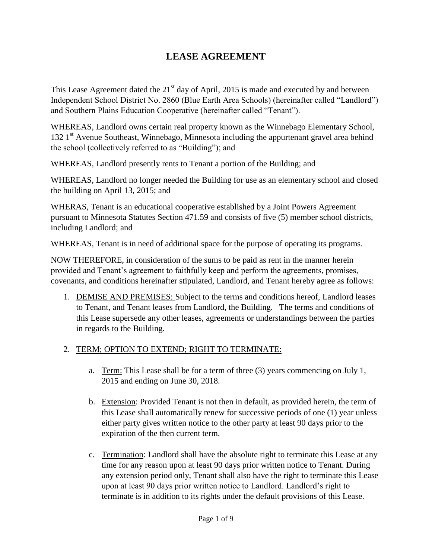## **LEASE AGREEMENT**

This Lease Agreement dated the  $21<sup>st</sup>$  day of April, 2015 is made and executed by and between Independent School District No. 2860 (Blue Earth Area Schools) (hereinafter called "Landlord") and Southern Plains Education Cooperative (hereinafter called "Tenant").

WHEREAS, Landlord owns certain real property known as the Winnebago Elementary School, 132 1<sup>st</sup> Avenue Southeast, Winnebago, Minnesota including the appurtenant gravel area behind the school (collectively referred to as "Building"); and

WHEREAS, Landlord presently rents to Tenant a portion of the Building; and

WHEREAS, Landlord no longer needed the Building for use as an elementary school and closed the building on April 13, 2015; and

WHERAS, Tenant is an educational cooperative established by a Joint Powers Agreement pursuant to Minnesota Statutes Section 471.59 and consists of five (5) member school districts, including Landlord; and

WHEREAS, Tenant is in need of additional space for the purpose of operating its programs.

NOW THEREFORE, in consideration of the sums to be paid as rent in the manner herein provided and Tenant's agreement to faithfully keep and perform the agreements, promises, covenants, and conditions hereinafter stipulated, Landlord, and Tenant hereby agree as follows:

1. DEMISE AND PREMISES: Subject to the terms and conditions hereof, Landlord leases to Tenant, and Tenant leases from Landlord, the Building. The terms and conditions of this Lease supersede any other leases, agreements or understandings between the parties in regards to the Building.

## 2. TERM; OPTION TO EXTEND; RIGHT TO TERMINATE:

- a. Term: This Lease shall be for a term of three (3) years commencing on July 1, 2015 and ending on June 30, 2018.
- b. Extension: Provided Tenant is not then in default, as provided herein, the term of this Lease shall automatically renew for successive periods of one (1) year unless either party gives written notice to the other party at least 90 days prior to the expiration of the then current term.
- c. Termination: Landlord shall have the absolute right to terminate this Lease at any time for any reason upon at least 90 days prior written notice to Tenant. During any extension period only, Tenant shall also have the right to terminate this Lease upon at least 90 days prior written notice to Landlord. Landlord's right to terminate is in addition to its rights under the default provisions of this Lease.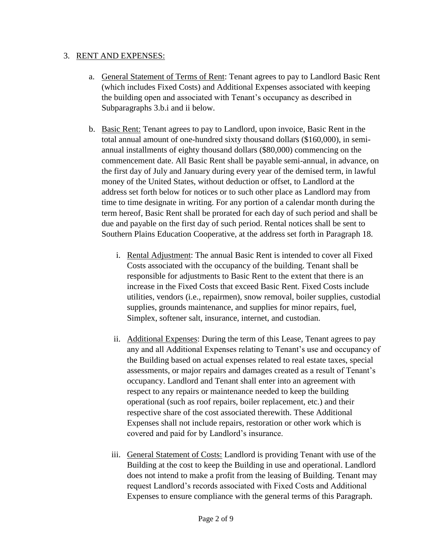## 3. RENT AND EXPENSES:

- a. General Statement of Terms of Rent: Tenant agrees to pay to Landlord Basic Rent (which includes Fixed Costs) and Additional Expenses associated with keeping the building open and associated with Tenant's occupancy as described in Subparagraphs 3.b.i and ii below.
- b. Basic Rent: Tenant agrees to pay to Landlord, upon invoice, Basic Rent in the total annual amount of one-hundred sixty thousand dollars (\$160,000), in semiannual installments of eighty thousand dollars (\$80,000) commencing on the commencement date. All Basic Rent shall be payable semi-annual, in advance, on the first day of July and January during every year of the demised term, in lawful money of the United States, without deduction or offset, to Landlord at the address set forth below for notices or to such other place as Landlord may from time to time designate in writing. For any portion of a calendar month during the term hereof, Basic Rent shall be prorated for each day of such period and shall be due and payable on the first day of such period. Rental notices shall be sent to Southern Plains Education Cooperative, at the address set forth in Paragraph 18.
	- i. Rental Adjustment: The annual Basic Rent is intended to cover all Fixed Costs associated with the occupancy of the building. Tenant shall be responsible for adjustments to Basic Rent to the extent that there is an increase in the Fixed Costs that exceed Basic Rent. Fixed Costs include utilities, vendors (i.e., repairmen), snow removal, boiler supplies, custodial supplies, grounds maintenance, and supplies for minor repairs, fuel, Simplex, softener salt, insurance, internet, and custodian.
	- ii. Additional Expenses: During the term of this Lease, Tenant agrees to pay any and all Additional Expenses relating to Tenant's use and occupancy of the Building based on actual expenses related to real estate taxes, special assessments, or major repairs and damages created as a result of Tenant's occupancy. Landlord and Tenant shall enter into an agreement with respect to any repairs or maintenance needed to keep the building operational (such as roof repairs, boiler replacement, etc.) and their respective share of the cost associated therewith. These Additional Expenses shall not include repairs, restoration or other work which is covered and paid for by Landlord's insurance.
	- iii. General Statement of Costs: Landlord is providing Tenant with use of the Building at the cost to keep the Building in use and operational. Landlord does not intend to make a profit from the leasing of Building. Tenant may request Landlord's records associated with Fixed Costs and Additional Expenses to ensure compliance with the general terms of this Paragraph.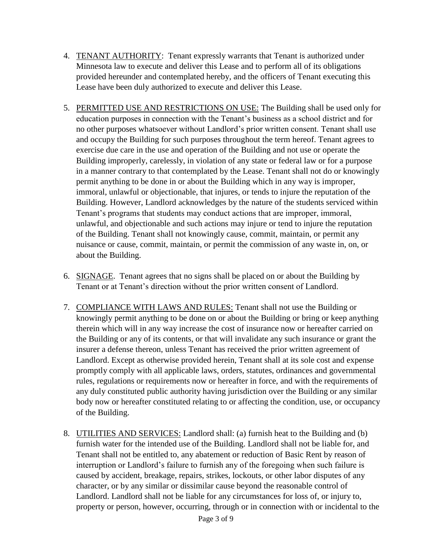- 4. TENANT AUTHORITY: Tenant expressly warrants that Tenant is authorized under Minnesota law to execute and deliver this Lease and to perform all of its obligations provided hereunder and contemplated hereby, and the officers of Tenant executing this Lease have been duly authorized to execute and deliver this Lease.
- 5. PERMITTED USE AND RESTRICTIONS ON USE: The Building shall be used only for education purposes in connection with the Tenant's business as a school district and for no other purposes whatsoever without Landlord's prior written consent. Tenant shall use and occupy the Building for such purposes throughout the term hereof. Tenant agrees to exercise due care in the use and operation of the Building and not use or operate the Building improperly, carelessly, in violation of any state or federal law or for a purpose in a manner contrary to that contemplated by the Lease. Tenant shall not do or knowingly permit anything to be done in or about the Building which in any way is improper, immoral, unlawful or objectionable, that injures, or tends to injure the reputation of the Building. However, Landlord acknowledges by the nature of the students serviced within Tenant's programs that students may conduct actions that are improper, immoral, unlawful, and objectionable and such actions may injure or tend to injure the reputation of the Building. Tenant shall not knowingly cause, commit, maintain, or permit any nuisance or cause, commit, maintain, or permit the commission of any waste in, on, or about the Building.
- 6. SIGNAGE. Tenant agrees that no signs shall be placed on or about the Building by Tenant or at Tenant's direction without the prior written consent of Landlord.
- 7. COMPLIANCE WITH LAWS AND RULES: Tenant shall not use the Building or knowingly permit anything to be done on or about the Building or bring or keep anything therein which will in any way increase the cost of insurance now or hereafter carried on the Building or any of its contents, or that will invalidate any such insurance or grant the insurer a defense thereon, unless Tenant has received the prior written agreement of Landlord. Except as otherwise provided herein, Tenant shall at its sole cost and expense promptly comply with all applicable laws, orders, statutes, ordinances and governmental rules, regulations or requirements now or hereafter in force, and with the requirements of any duly constituted public authority having jurisdiction over the Building or any similar body now or hereafter constituted relating to or affecting the condition, use, or occupancy of the Building.
- 8. UTILITIES AND SERVICES: Landlord shall: (a) furnish heat to the Building and (b) furnish water for the intended use of the Building. Landlord shall not be liable for, and Tenant shall not be entitled to, any abatement or reduction of Basic Rent by reason of interruption or Landlord's failure to furnish any of the foregoing when such failure is caused by accident, breakage, repairs, strikes, lockouts, or other labor disputes of any character, or by any similar or dissimilar cause beyond the reasonable control of Landlord. Landlord shall not be liable for any circumstances for loss of, or injury to, property or person, however, occurring, through or in connection with or incidental to the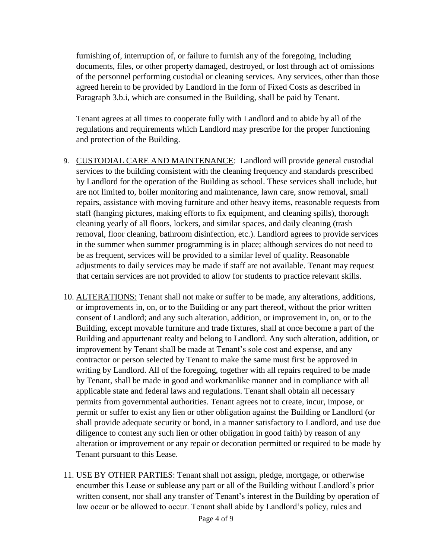furnishing of, interruption of, or failure to furnish any of the foregoing, including documents, files, or other property damaged, destroyed, or lost through act of omissions of the personnel performing custodial or cleaning services. Any services, other than those agreed herein to be provided by Landlord in the form of Fixed Costs as described in Paragraph 3.b.i, which are consumed in the Building, shall be paid by Tenant.

Tenant agrees at all times to cooperate fully with Landlord and to abide by all of the regulations and requirements which Landlord may prescribe for the proper functioning and protection of the Building.

- 9. CUSTODIAL CARE AND MAINTENANCE: Landlord will provide general custodial services to the building consistent with the cleaning frequency and standards prescribed by Landlord for the operation of the Building as school. These services shall include, but are not limited to, boiler monitoring and maintenance, lawn care, snow removal, small repairs, assistance with moving furniture and other heavy items, reasonable requests from staff (hanging pictures, making efforts to fix equipment, and cleaning spills), thorough cleaning yearly of all floors, lockers, and similar spaces, and daily cleaning (trash removal, floor cleaning, bathroom disinfection, etc.). Landlord agrees to provide services in the summer when summer programming is in place; although services do not need to be as frequent, services will be provided to a similar level of quality. Reasonable adjustments to daily services may be made if staff are not available. Tenant may request that certain services are not provided to allow for students to practice relevant skills.
- 10. ALTERATIONS: Tenant shall not make or suffer to be made, any alterations, additions, or improvements in, on, or to the Building or any part thereof, without the prior written consent of Landlord; and any such alteration, addition, or improvement in, on, or to the Building, except movable furniture and trade fixtures, shall at once become a part of the Building and appurtenant realty and belong to Landlord. Any such alteration, addition, or improvement by Tenant shall be made at Tenant's sole cost and expense, and any contractor or person selected by Tenant to make the same must first be approved in writing by Landlord. All of the foregoing, together with all repairs required to be made by Tenant, shall be made in good and workmanlike manner and in compliance with all applicable state and federal laws and regulations. Tenant shall obtain all necessary permits from governmental authorities. Tenant agrees not to create, incur, impose, or permit or suffer to exist any lien or other obligation against the Building or Landlord (or shall provide adequate security or bond, in a manner satisfactory to Landlord, and use due diligence to contest any such lien or other obligation in good faith) by reason of any alteration or improvement or any repair or decoration permitted or required to be made by Tenant pursuant to this Lease.
- 11. USE BY OTHER PARTIES: Tenant shall not assign, pledge, mortgage, or otherwise encumber this Lease or sublease any part or all of the Building without Landlord's prior written consent, nor shall any transfer of Tenant's interest in the Building by operation of law occur or be allowed to occur. Tenant shall abide by Landlord's policy, rules and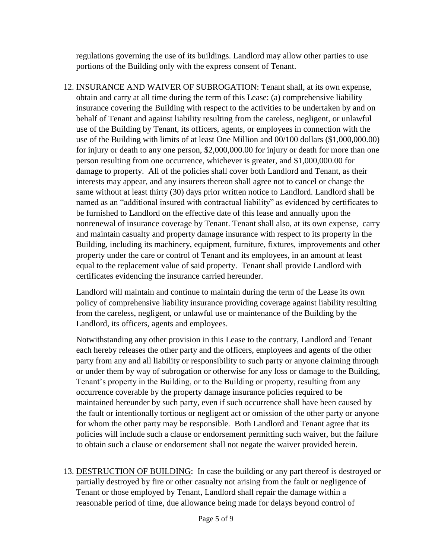regulations governing the use of its buildings. Landlord may allow other parties to use portions of the Building only with the express consent of Tenant.

12. INSURANCE AND WAIVER OF SUBROGATION: Tenant shall, at its own expense, obtain and carry at all time during the term of this Lease: (a) comprehensive liability insurance covering the Building with respect to the activities to be undertaken by and on behalf of Tenant and against liability resulting from the careless, negligent, or unlawful use of the Building by Tenant, its officers, agents, or employees in connection with the use of the Building with limits of at least One Million and 00/100 dollars (\$1,000,000.00) for injury or death to any one person, \$2,000,000.00 for injury or death for more than one person resulting from one occurrence, whichever is greater, and \$1,000,000.00 for damage to property. All of the policies shall cover both Landlord and Tenant, as their interests may appear, and any insurers thereon shall agree not to cancel or change the same without at least thirty (30) days prior written notice to Landlord. Landlord shall be named as an "additional insured with contractual liability" as evidenced by certificates to be furnished to Landlord on the effective date of this lease and annually upon the nonrenewal of insurance coverage by Tenant. Tenant shall also, at its own expense, carry and maintain casualty and property damage insurance with respect to its property in the Building, including its machinery, equipment, furniture, fixtures, improvements and other property under the care or control of Tenant and its employees, in an amount at least equal to the replacement value of said property. Tenant shall provide Landlord with certificates evidencing the insurance carried hereunder.

Landlord will maintain and continue to maintain during the term of the Lease its own policy of comprehensive liability insurance providing coverage against liability resulting from the careless, negligent, or unlawful use or maintenance of the Building by the Landlord, its officers, agents and employees.

Notwithstanding any other provision in this Lease to the contrary, Landlord and Tenant each hereby releases the other party and the officers, employees and agents of the other party from any and all liability or responsibility to such party or anyone claiming through or under them by way of subrogation or otherwise for any loss or damage to the Building, Tenant's property in the Building, or to the Building or property, resulting from any occurrence coverable by the property damage insurance policies required to be maintained hereunder by such party, even if such occurrence shall have been caused by the fault or intentionally tortious or negligent act or omission of the other party or anyone for whom the other party may be responsible. Both Landlord and Tenant agree that its policies will include such a clause or endorsement permitting such waiver, but the failure to obtain such a clause or endorsement shall not negate the waiver provided herein.

13. DESTRUCTION OF BUILDING: In case the building or any part thereof is destroyed or partially destroyed by fire or other casualty not arising from the fault or negligence of Tenant or those employed by Tenant, Landlord shall repair the damage within a reasonable period of time, due allowance being made for delays beyond control of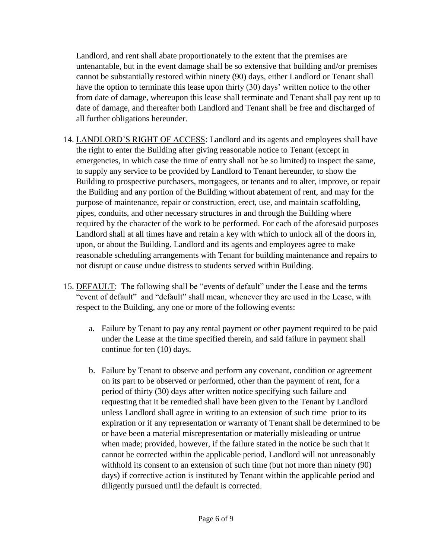Landlord, and rent shall abate proportionately to the extent that the premises are untenantable, but in the event damage shall be so extensive that building and/or premises cannot be substantially restored within ninety (90) days, either Landlord or Tenant shall have the option to terminate this lease upon thirty (30) days' written notice to the other from date of damage, whereupon this lease shall terminate and Tenant shall pay rent up to date of damage, and thereafter both Landlord and Tenant shall be free and discharged of all further obligations hereunder.

- 14. LANDLORD'S RIGHT OF ACCESS: Landlord and its agents and employees shall have the right to enter the Building after giving reasonable notice to Tenant (except in emergencies, in which case the time of entry shall not be so limited) to inspect the same, to supply any service to be provided by Landlord to Tenant hereunder, to show the Building to prospective purchasers, mortgagees, or tenants and to alter, improve, or repair the Building and any portion of the Building without abatement of rent, and may for the purpose of maintenance, repair or construction, erect, use, and maintain scaffolding, pipes, conduits, and other necessary structures in and through the Building where required by the character of the work to be performed. For each of the aforesaid purposes Landlord shall at all times have and retain a key with which to unlock all of the doors in, upon, or about the Building. Landlord and its agents and employees agree to make reasonable scheduling arrangements with Tenant for building maintenance and repairs to not disrupt or cause undue distress to students served within Building.
- 15. DEFAULT: The following shall be "events of default" under the Lease and the terms "event of default" and "default" shall mean, whenever they are used in the Lease, with respect to the Building, any one or more of the following events:
	- a. Failure by Tenant to pay any rental payment or other payment required to be paid under the Lease at the time specified therein, and said failure in payment shall continue for ten (10) days.
	- b. Failure by Tenant to observe and perform any covenant, condition or agreement on its part to be observed or performed, other than the payment of rent, for a period of thirty (30) days after written notice specifying such failure and requesting that it be remedied shall have been given to the Tenant by Landlord unless Landlord shall agree in writing to an extension of such time prior to its expiration or if any representation or warranty of Tenant shall be determined to be or have been a material misrepresentation or materially misleading or untrue when made; provided, however, if the failure stated in the notice be such that it cannot be corrected within the applicable period, Landlord will not unreasonably withhold its consent to an extension of such time (but not more than ninety (90) days) if corrective action is instituted by Tenant within the applicable period and diligently pursued until the default is corrected.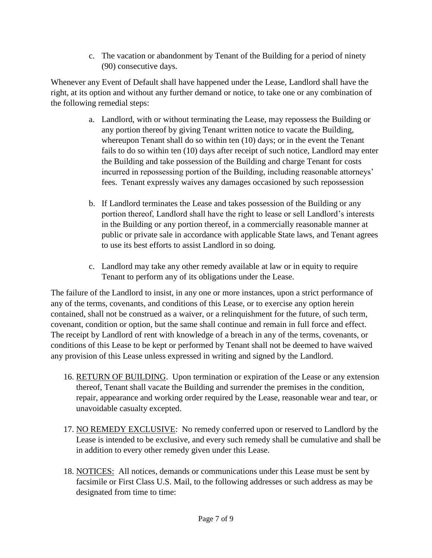c. The vacation or abandonment by Tenant of the Building for a period of ninety (90) consecutive days.

Whenever any Event of Default shall have happened under the Lease, Landlord shall have the right, at its option and without any further demand or notice, to take one or any combination of the following remedial steps:

- a. Landlord, with or without terminating the Lease, may repossess the Building or any portion thereof by giving Tenant written notice to vacate the Building, whereupon Tenant shall do so within ten (10) days; or in the event the Tenant fails to do so within ten (10) days after receipt of such notice, Landlord may enter the Building and take possession of the Building and charge Tenant for costs incurred in repossessing portion of the Building, including reasonable attorneys' fees. Tenant expressly waives any damages occasioned by such repossession
- b. If Landlord terminates the Lease and takes possession of the Building or any portion thereof, Landlord shall have the right to lease or sell Landlord's interests in the Building or any portion thereof, in a commercially reasonable manner at public or private sale in accordance with applicable State laws, and Tenant agrees to use its best efforts to assist Landlord in so doing.
- c. Landlord may take any other remedy available at law or in equity to require Tenant to perform any of its obligations under the Lease.

The failure of the Landlord to insist, in any one or more instances, upon a strict performance of any of the terms, covenants, and conditions of this Lease, or to exercise any option herein contained, shall not be construed as a waiver, or a relinquishment for the future, of such term, covenant, condition or option, but the same shall continue and remain in full force and effect. The receipt by Landlord of rent with knowledge of a breach in any of the terms, covenants, or conditions of this Lease to be kept or performed by Tenant shall not be deemed to have waived any provision of this Lease unless expressed in writing and signed by the Landlord.

- 16. RETURN OF BUILDING. Upon termination or expiration of the Lease or any extension thereof, Tenant shall vacate the Building and surrender the premises in the condition, repair, appearance and working order required by the Lease, reasonable wear and tear, or unavoidable casualty excepted.
- 17. NO REMEDY EXCLUSIVE: No remedy conferred upon or reserved to Landlord by the Lease is intended to be exclusive, and every such remedy shall be cumulative and shall be in addition to every other remedy given under this Lease.
- 18. NOTICES: All notices, demands or communications under this Lease must be sent by facsimile or First Class U.S. Mail, to the following addresses or such address as may be designated from time to time: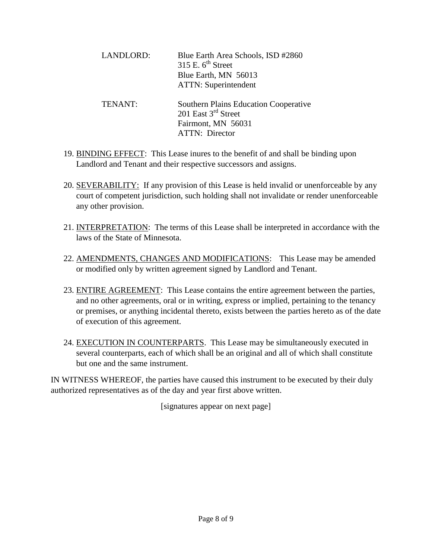| <b>LANDLORD:</b> | Blue Earth Area Schools, ISD #2860<br>315 E. $6^{th}$ Street<br>Blue Earth, MN 56013<br><b>ATTN:</b> Superintendent     |
|------------------|-------------------------------------------------------------------------------------------------------------------------|
| TENANT:          | <b>Southern Plains Education Cooperative</b><br>201 East $3^{rd}$ Street<br>Fairmont, MN 56031<br><b>ATTN:</b> Director |

- 19. BINDING EFFECT: This Lease inures to the benefit of and shall be binding upon Landlord and Tenant and their respective successors and assigns.
- 20. SEVERABILITY: If any provision of this Lease is held invalid or unenforceable by any court of competent jurisdiction, such holding shall not invalidate or render unenforceable any other provision.
- 21. INTERPRETATION: The terms of this Lease shall be interpreted in accordance with the laws of the State of Minnesota.
- 22. AMENDMENTS, CHANGES AND MODIFICATIONS: This Lease may be amended or modified only by written agreement signed by Landlord and Tenant.
- 23. ENTIRE AGREEMENT: This Lease contains the entire agreement between the parties, and no other agreements, oral or in writing, express or implied, pertaining to the tenancy or premises, or anything incidental thereto, exists between the parties hereto as of the date of execution of this agreement.
- 24. EXECUTION IN COUNTERPARTS. This Lease may be simultaneously executed in several counterparts, each of which shall be an original and all of which shall constitute but one and the same instrument.

IN WITNESS WHEREOF, the parties have caused this instrument to be executed by their duly authorized representatives as of the day and year first above written.

[signatures appear on next page]